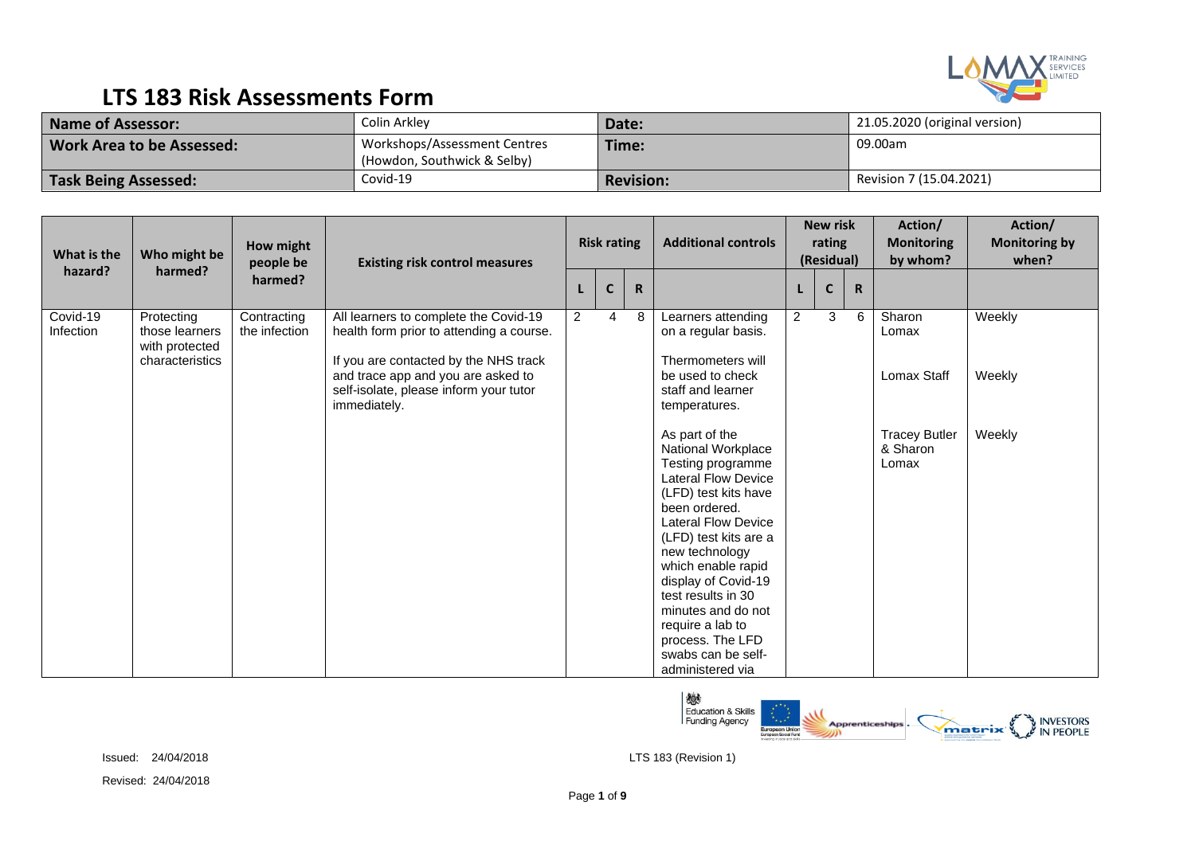

| <b>Name of Assessor:</b>         | Colin Arkley                                                | Date:            | 21.05.2020 (original version) |
|----------------------------------|-------------------------------------------------------------|------------------|-------------------------------|
| <b>Work Area to be Assessed:</b> | Workshops/Assessment Centres<br>(Howdon, Southwick & Selby) | Time:            | 09.00am                       |
| <b>Task Being Assessed:</b>      | Covid-19                                                    | <b>Revision:</b> | Revision 7 (15.04.2021)       |

| What is the             | Who might be                                                      | How might<br>people be       | <b>Existing risk control measures</b>                                                                                      |                | <b>Risk rating</b> |             | <b>Additional controls</b>                                                                                                                                                                                                                                                                                                                                                           |                | <b>New risk</b><br>rating<br>(Residual) |             | Action/<br><b>Monitoring</b><br>by whom?  | Action/<br><b>Monitoring by</b><br>when? |
|-------------------------|-------------------------------------------------------------------|------------------------------|----------------------------------------------------------------------------------------------------------------------------|----------------|--------------------|-------------|--------------------------------------------------------------------------------------------------------------------------------------------------------------------------------------------------------------------------------------------------------------------------------------------------------------------------------------------------------------------------------------|----------------|-----------------------------------------|-------------|-------------------------------------------|------------------------------------------|
| hazard?                 | harmed?                                                           | harmed?                      |                                                                                                                            |                | $\mathbf{C}$       | $\mathbf R$ |                                                                                                                                                                                                                                                                                                                                                                                      |                | $\mathbf C$                             | $\mathbf R$ |                                           |                                          |
| $Covid-19$<br>Infection | Protecting<br>those learners<br>with protected<br>characteristics | Contracting<br>the infection | All learners to complete the Covid-19<br>health form prior to attending a course.<br>If you are contacted by the NHS track | $\overline{2}$ | $\overline{4}$     | 8           | Learners attending<br>on a regular basis.<br>Thermometers will                                                                                                                                                                                                                                                                                                                       | $\overline{c}$ | 3                                       | 6           | Sharon<br>Lomax                           | Weekly                                   |
|                         |                                                                   |                              | and trace app and you are asked to<br>self-isolate, please inform your tutor<br>immediately.                               |                |                    |             | be used to check<br>staff and learner<br>temperatures.                                                                                                                                                                                                                                                                                                                               |                |                                         |             | Lomax Staff                               | Weekly                                   |
|                         |                                                                   |                              |                                                                                                                            |                |                    |             | As part of the<br>National Workplace<br>Testing programme<br><b>Lateral Flow Device</b><br>(LFD) test kits have<br>been ordered.<br><b>Lateral Flow Device</b><br>(LFD) test kits are a<br>new technology<br>which enable rapid<br>display of Covid-19<br>test results in 30<br>minutes and do not<br>require a lab to<br>process. The LFD<br>swabs can be self-<br>administered via |                |                                         |             | <b>Tracey Butler</b><br>& Sharon<br>Lomax | Weekly                                   |

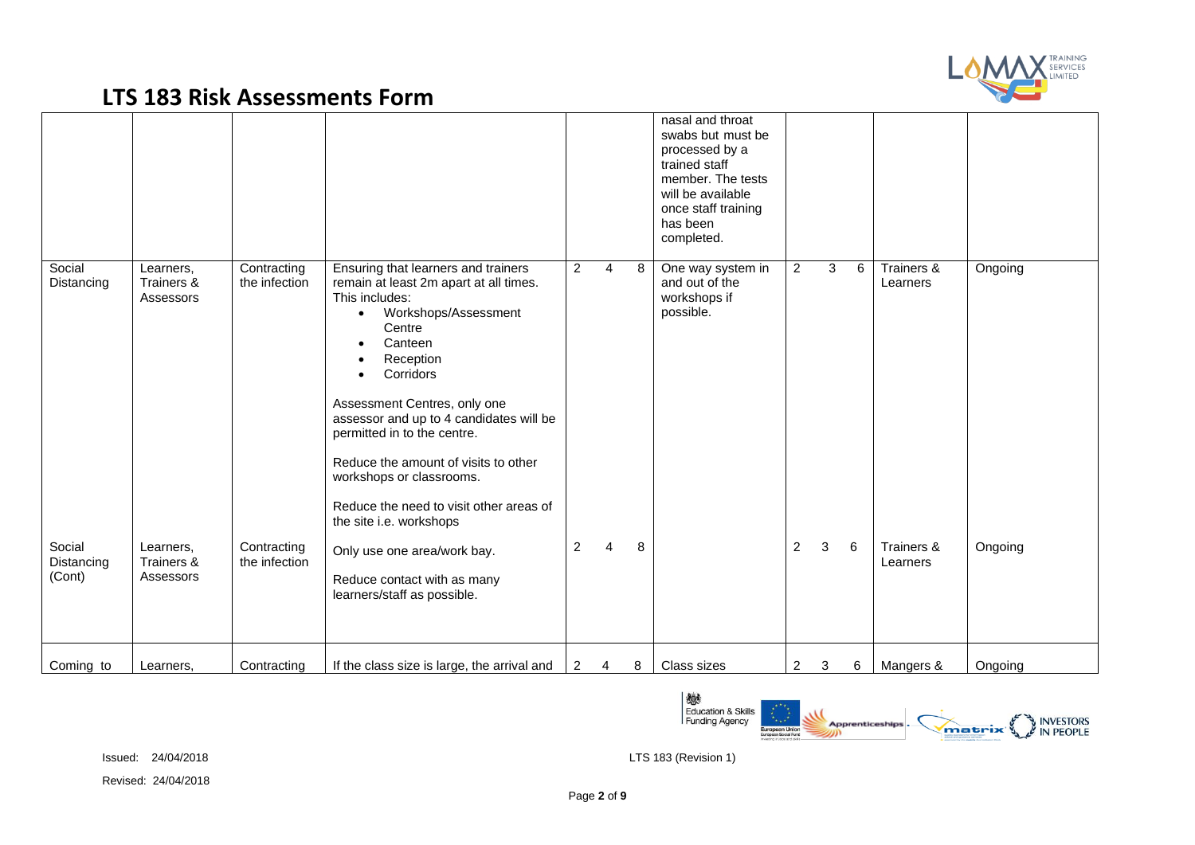

|                                |                                                   |                                             |                                                                                                                                                                                                                                                                                                                                                                                                                                         |                |                     |        | nasal and throat<br>swabs but must be<br>processed by a<br>trained staff<br>member. The tests<br>will be available<br>once staff training<br>has been<br>completed. |                                  |                     |        |                                      |                    |
|--------------------------------|---------------------------------------------------|---------------------------------------------|-----------------------------------------------------------------------------------------------------------------------------------------------------------------------------------------------------------------------------------------------------------------------------------------------------------------------------------------------------------------------------------------------------------------------------------------|----------------|---------------------|--------|---------------------------------------------------------------------------------------------------------------------------------------------------------------------|----------------------------------|---------------------|--------|--------------------------------------|--------------------|
| Social<br>Distancing<br>Social | Learners,<br>Trainers &<br>Assessors<br>Learners, | Contracting<br>the infection<br>Contracting | Ensuring that learners and trainers<br>remain at least 2m apart at all times.<br>This includes:<br>Workshops/Assessment<br>$\bullet$<br>Centre<br>Canteen<br>Reception<br>Corridors<br>Assessment Centres, only one<br>assessor and up to 4 candidates will be<br>permitted in to the centre.<br>Reduce the amount of visits to other<br>workshops or classrooms.<br>Reduce the need to visit other areas of<br>the site i.e. workshops | 2<br>2         | $\overline{4}$<br>4 | 8<br>8 | One way system in<br>and out of the<br>workshops if<br>possible.                                                                                                    | $\overline{2}$<br>$\overline{2}$ | 3 <sup>1</sup><br>3 | 6<br>6 | Trainers &<br>Learners<br>Trainers & | Ongoing<br>Ongoing |
| Distancing<br>(Cont)           | Trainers &<br>Assessors                           | the infection                               | Only use one area/work bay.<br>Reduce contact with as many<br>learners/staff as possible.                                                                                                                                                                                                                                                                                                                                               |                |                     |        |                                                                                                                                                                     |                                  |                     |        | Learners                             |                    |
| Coming to                      | Learners,                                         | Contracting                                 | If the class size is large, the arrival and                                                                                                                                                                                                                                                                                                                                                                                             | $\overline{2}$ | $\overline{4}$      | 8      | Class sizes                                                                                                                                                         | 2                                | 3                   | 6      | Mangers &                            | Ongoing            |

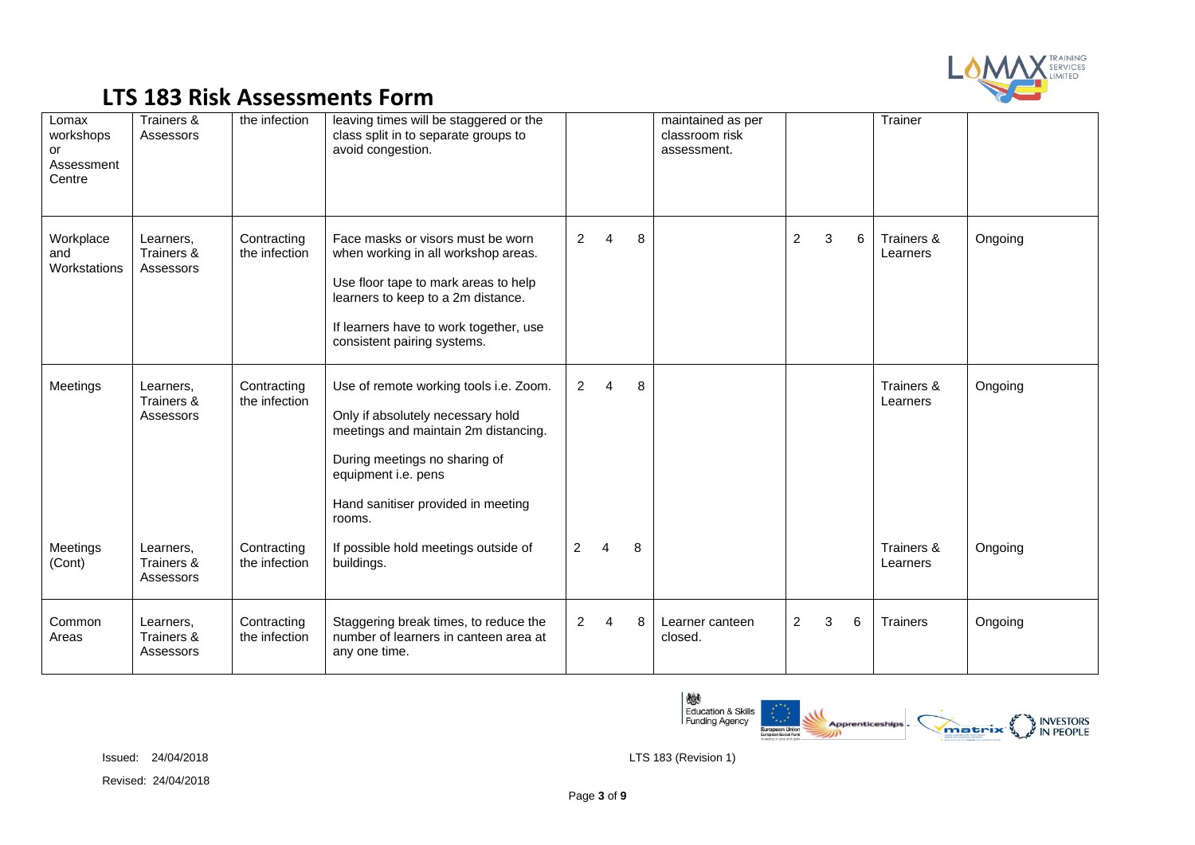

| Lomax<br>workshops<br>or<br>Assessment<br>Centre | Trainers &<br>Assessors              | the infection                | leaving times will be staggered or the<br>class split in to separate groups to<br>avoid congestion.                                                                                                                             |                |          |   | maintained as per<br>classroom risk<br>assessment. |                |   |   | Trainer                |         |
|--------------------------------------------------|--------------------------------------|------------------------------|---------------------------------------------------------------------------------------------------------------------------------------------------------------------------------------------------------------------------------|----------------|----------|---|----------------------------------------------------|----------------|---|---|------------------------|---------|
| Workplace<br>and<br>Workstations                 | Learners,<br>Trainers &<br>Assessors | Contracting<br>the infection | Face masks or visors must be worn<br>when working in all workshop areas.<br>Use floor tape to mark areas to help<br>learners to keep to a 2m distance.<br>If learners have to work together, use<br>consistent pairing systems. | $\overline{2}$ | $\Delta$ | 8 |                                                    | $\overline{2}$ | 3 | 6 | Trainers &<br>Learners | Ongoing |
| Meetings                                         | Learners.<br>Trainers &<br>Assessors | Contracting<br>the infection | Use of remote working tools i.e. Zoom.<br>Only if absolutely necessary hold<br>meetings and maintain 2m distancing.<br>During meetings no sharing of<br>equipment i.e. pens<br>Hand sanitiser provided in meeting<br>rooms.     | $\overline{2}$ | $\Delta$ | 8 |                                                    |                |   |   | Trainers &<br>Learners | Ongoing |
| Meetings<br>(Cont)                               | Learners,<br>Trainers &<br>Assessors | Contracting<br>the infection | If possible hold meetings outside of<br>buildings.                                                                                                                                                                              | $\overline{2}$ | 4        | 8 |                                                    |                |   |   | Trainers &<br>Learners | Ongoing |
| Common<br>Areas                                  | Learners,<br>Trainers &<br>Assessors | Contracting<br>the infection | Staggering break times, to reduce the<br>number of learners in canteen area at<br>any one time.                                                                                                                                 | $\overline{2}$ | 4        | 8 | Learner canteen<br>closed.                         | $\overline{2}$ | 3 | 6 | Trainers               | Ongoing |

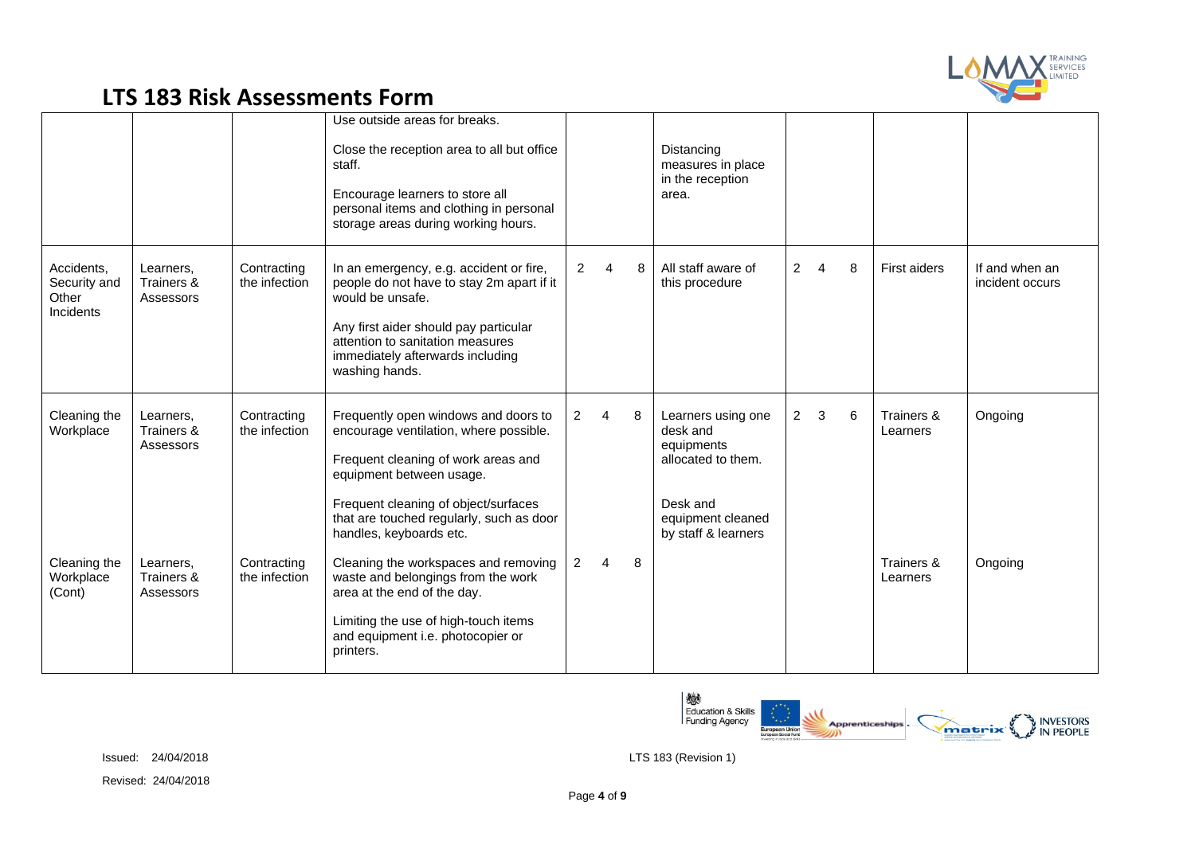

|                                                  |                                      |                              | Use outside areas for breaks.<br>Close the reception area to all but office<br>staff.<br>Encourage learners to store all<br>personal items and clothing in personal<br>storage areas during working hours.                                                       |                |                        |   | Distancing<br>measures in place<br>in the reception<br>area.                                                               |                |                |   |                        |                                   |
|--------------------------------------------------|--------------------------------------|------------------------------|------------------------------------------------------------------------------------------------------------------------------------------------------------------------------------------------------------------------------------------------------------------|----------------|------------------------|---|----------------------------------------------------------------------------------------------------------------------------|----------------|----------------|---|------------------------|-----------------------------------|
| Accidents,<br>Security and<br>Other<br>Incidents | Learners,<br>Trainers &<br>Assessors | Contracting<br>the infection | In an emergency, e.g. accident or fire,<br>people do not have to stay 2m apart if it<br>would be unsafe.<br>Any first aider should pay particular<br>attention to sanitation measures<br>immediately afterwards including<br>washing hands.                      | $\overline{2}$ | $\boldsymbol{\Lambda}$ | 8 | All staff aware of<br>this procedure                                                                                       | $\overline{2}$ | $\overline{4}$ | 8 | <b>First aiders</b>    | If and when an<br>incident occurs |
| Cleaning the<br>Workplace                        | Learners,<br>Trainers &<br>Assessors | Contracting<br>the infection | Frequently open windows and doors to<br>encourage ventilation, where possible.<br>Frequent cleaning of work areas and<br>equipment between usage.<br>Frequent cleaning of object/surfaces<br>that are touched regularly, such as door<br>handles, keyboards etc. | $\overline{2}$ | 4                      | 8 | Learners using one<br>desk and<br>equipments<br>allocated to them.<br>Desk and<br>equipment cleaned<br>by staff & learners | $\overline{2}$ | 3              | 6 | Trainers &<br>Learners | Ongoing                           |
| Cleaning the<br>Workplace<br>(Cont)              | Learners.<br>Trainers &<br>Assessors | Contracting<br>the infection | Cleaning the workspaces and removing<br>waste and belongings from the work<br>area at the end of the day.<br>Limiting the use of high-touch items<br>and equipment i.e. photocopier or<br>printers.                                                              | $\overline{2}$ | 4                      | 8 |                                                                                                                            |                |                |   | Trainers &<br>Learners | Ongoing                           |

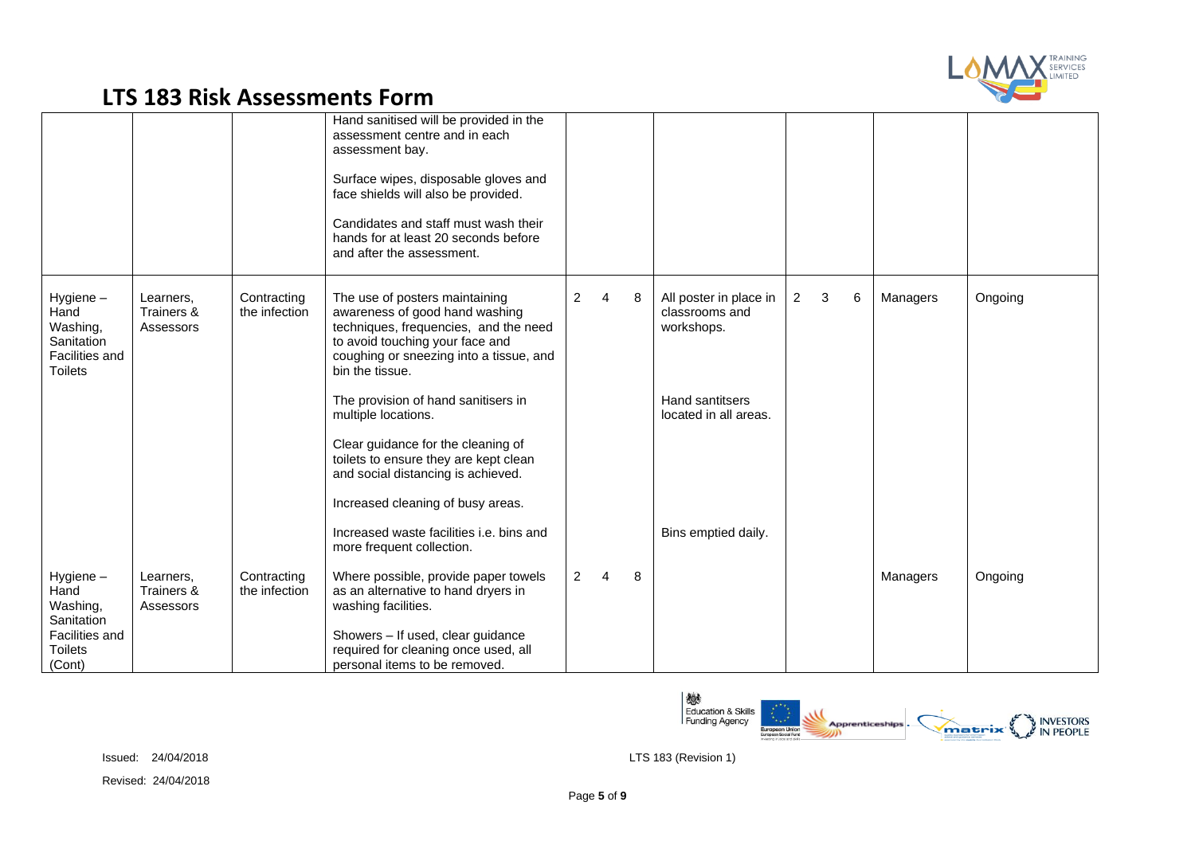

|                                                                                |                                      |                              | Hand sanitised will be provided in the<br>assessment centre and in each<br>assessment bay.<br>Surface wipes, disposable gloves and<br>face shields will also be provided.<br>Candidates and staff must wash their<br>hands for at least 20 seconds before<br>and after the assessment. |                |                |   |                                                        |                |   |   |          |         |
|--------------------------------------------------------------------------------|--------------------------------------|------------------------------|----------------------------------------------------------------------------------------------------------------------------------------------------------------------------------------------------------------------------------------------------------------------------------------|----------------|----------------|---|--------------------------------------------------------|----------------|---|---|----------|---------|
| Hygiene-<br>Hand<br>Washing,<br>Sanitation<br>Facilities and<br><b>Toilets</b> | Learners,<br>Trainers &<br>Assessors | Contracting<br>the infection | The use of posters maintaining<br>awareness of good hand washing<br>techniques, frequencies, and the need<br>to avoid touching your face and<br>coughing or sneezing into a tissue, and<br>bin the tissue.                                                                             | $\overline{2}$ | $\overline{4}$ | 8 | All poster in place in<br>classrooms and<br>workshops. | $\overline{2}$ | 3 | 6 | Managers | Ongoing |
|                                                                                |                                      |                              | The provision of hand sanitisers in<br>multiple locations.                                                                                                                                                                                                                             |                |                |   | Hand santitsers<br>located in all areas.               |                |   |   |          |         |
|                                                                                |                                      |                              | Clear guidance for the cleaning of<br>toilets to ensure they are kept clean<br>and social distancing is achieved.                                                                                                                                                                      |                |                |   |                                                        |                |   |   |          |         |
|                                                                                |                                      |                              | Increased cleaning of busy areas.                                                                                                                                                                                                                                                      |                |                |   |                                                        |                |   |   |          |         |
|                                                                                |                                      |                              | Increased waste facilities i.e. bins and<br>more frequent collection.                                                                                                                                                                                                                  |                |                |   | Bins emptied daily.                                    |                |   |   |          |         |
| Hygiene-<br>Hand<br>Washing,<br>Sanitation                                     | Learners,<br>Trainers &<br>Assessors | Contracting<br>the infection | Where possible, provide paper towels<br>as an alternative to hand dryers in<br>washing facilities.                                                                                                                                                                                     | $\overline{2}$ | $\overline{4}$ | 8 |                                                        |                |   |   | Managers | Ongoing |
| Facilities and<br><b>Toilets</b><br>(Cont)                                     |                                      |                              | Showers - If used, clear guidance<br>required for cleaning once used, all<br>personal items to be removed.                                                                                                                                                                             |                |                |   |                                                        |                |   |   |          |         |

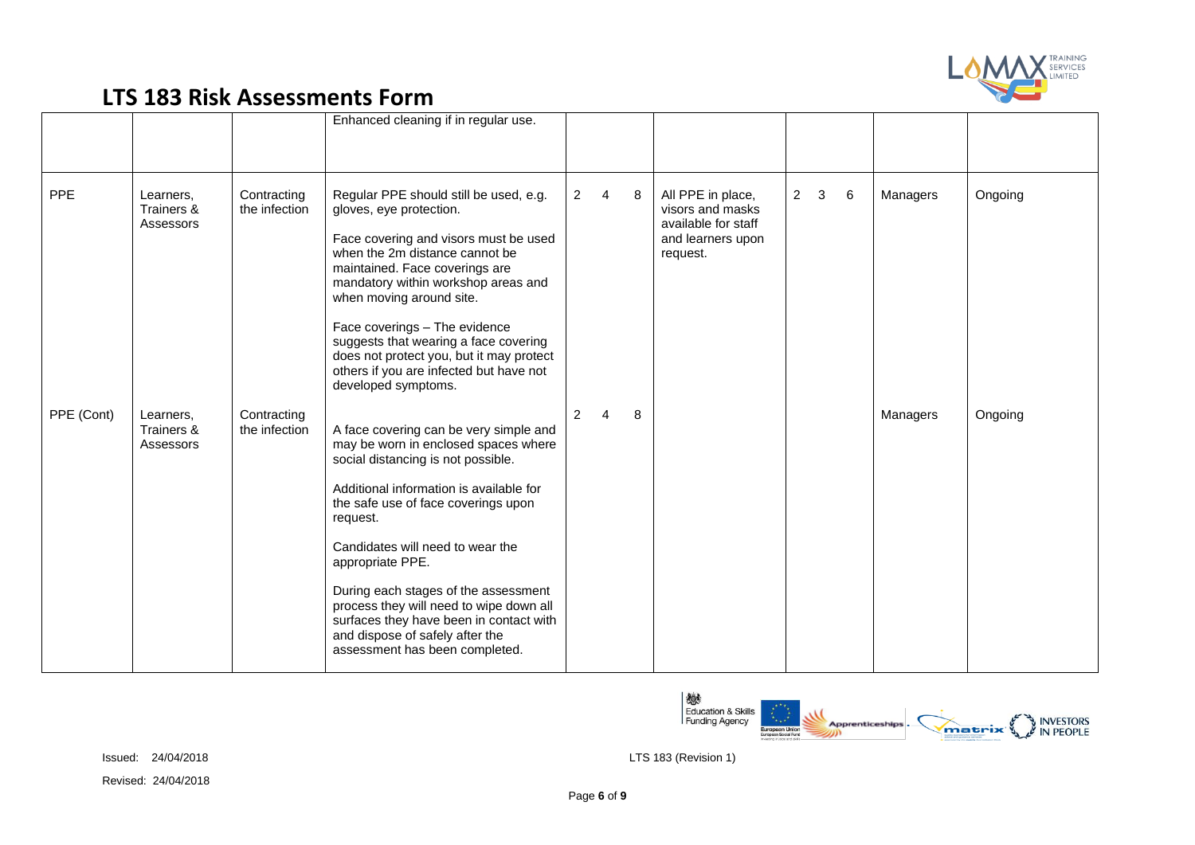

|            |                                      |                              | Enhanced cleaning if in regular use.                                                                                                                                                                                                                                                                                                                                                                                                                                          |                |                |   |                                                                                               |             |   |          |         |
|------------|--------------------------------------|------------------------------|-------------------------------------------------------------------------------------------------------------------------------------------------------------------------------------------------------------------------------------------------------------------------------------------------------------------------------------------------------------------------------------------------------------------------------------------------------------------------------|----------------|----------------|---|-----------------------------------------------------------------------------------------------|-------------|---|----------|---------|
| <b>PPE</b> | Learners,<br>Trainers &<br>Assessors | Contracting<br>the infection | Regular PPE should still be used, e.g.<br>gloves, eye protection.<br>Face covering and visors must be used<br>when the 2m distance cannot be<br>maintained. Face coverings are<br>mandatory within workshop areas and<br>when moving around site.<br>Face coverings - The evidence<br>suggests that wearing a face covering<br>does not protect you, but it may protect<br>others if you are infected but have not<br>developed symptoms.                                     | $\overline{2}$ | $\overline{4}$ | 8 | All PPE in place,<br>visors and masks<br>available for staff<br>and learners upon<br>request. | $2 \quad 3$ | 6 | Managers | Ongoing |
| PPE (Cont) | Learners.<br>Trainers &<br>Assessors | Contracting<br>the infection | A face covering can be very simple and<br>may be worn in enclosed spaces where<br>social distancing is not possible.<br>Additional information is available for<br>the safe use of face coverings upon<br>request.<br>Candidates will need to wear the<br>appropriate PPE.<br>During each stages of the assessment<br>process they will need to wipe down all<br>surfaces they have been in contact with<br>and dispose of safely after the<br>assessment has been completed. | $\overline{2}$ |                | 8 |                                                                                               |             |   | Managers | Ongoing |

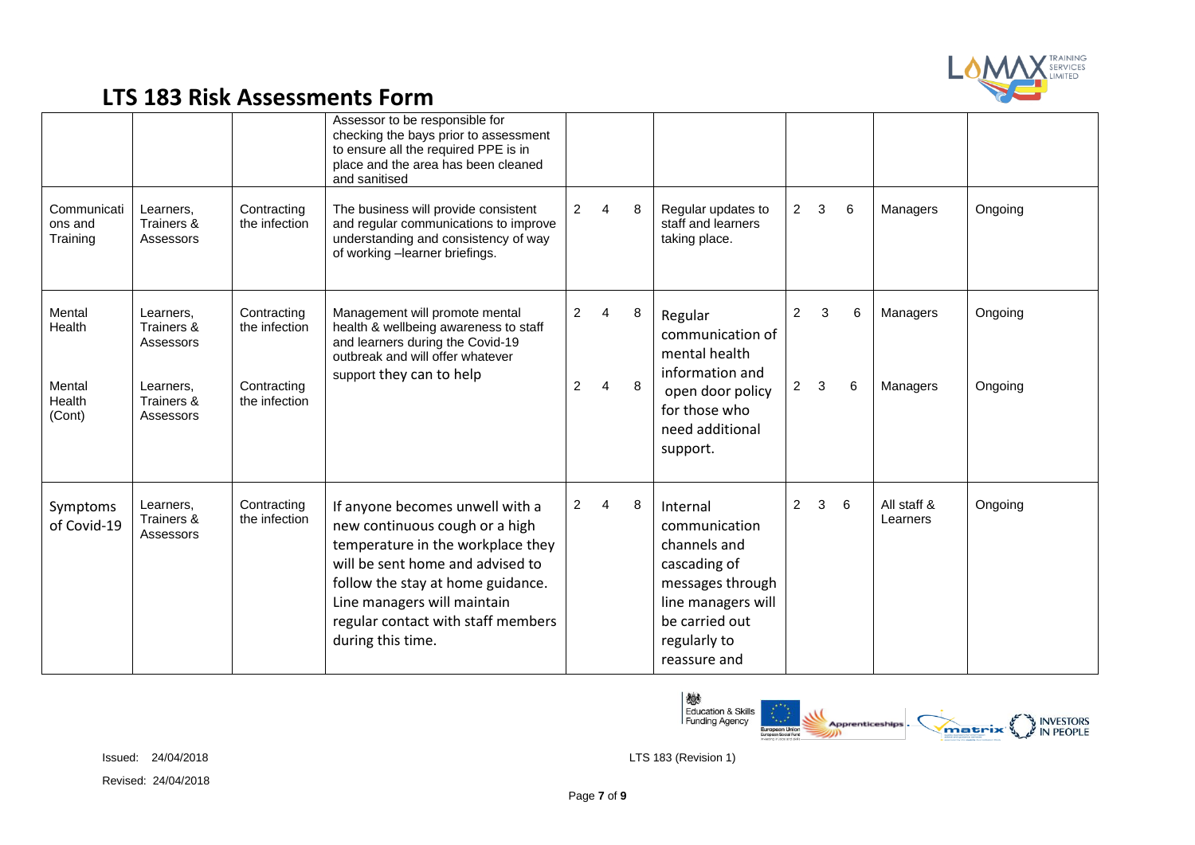

|                                                |                                                                              |                                                              | Assessor to be responsible for<br>checking the bays prior to assessment<br>to ensure all the required PPE is in<br>place and the area has been cleaned<br>and sanitised                                                                                                   |                     |                     |        |                                                                                                                                                       |                                  |                   |        |                         |                    |
|------------------------------------------------|------------------------------------------------------------------------------|--------------------------------------------------------------|---------------------------------------------------------------------------------------------------------------------------------------------------------------------------------------------------------------------------------------------------------------------------|---------------------|---------------------|--------|-------------------------------------------------------------------------------------------------------------------------------------------------------|----------------------------------|-------------------|--------|-------------------------|--------------------|
| Communicati<br>ons and<br>Training             | Learners,<br>Trainers &<br>Assessors                                         | Contracting<br>the infection                                 | The business will provide consistent<br>and regular communications to improve<br>understanding and consistency of way<br>of working -learner briefings.                                                                                                                   | $\overline{2}$      | $\overline{4}$      | 8      | Regular updates to<br>staff and learners<br>taking place.                                                                                             | $\overline{2}$                   | $\mathbf{3}$      | 6      | Managers                | Ongoing            |
| Mental<br>Health<br>Mental<br>Health<br>(Cont) | Learners,<br>Trainers &<br>Assessors<br>Learners,<br>Trainers &<br>Assessors | Contracting<br>the infection<br>Contracting<br>the infection | Management will promote mental<br>health & wellbeing awareness to staff<br>and learners during the Covid-19<br>outbreak and will offer whatever<br>support they can to help                                                                                               | $\overline{2}$<br>2 | $\overline{4}$<br>4 | 8<br>8 | Regular<br>communication of<br>mental health<br>information and<br>open door policy<br>for those who<br>need additional<br>support.                   | $\overline{2}$<br>$\overline{c}$ | 3<br>$\mathbf{3}$ | 6<br>6 | Managers<br>Managers    | Ongoing<br>Ongoing |
| Symptoms<br>of Covid-19                        | Learners.<br>Trainers &<br>Assessors                                         | Contracting<br>the infection                                 | If anyone becomes unwell with a<br>new continuous cough or a high<br>temperature in the workplace they<br>will be sent home and advised to<br>follow the stay at home guidance.<br>Line managers will maintain<br>regular contact with staff members<br>during this time. | $\overline{2}$      | $\overline{4}$      | 8      | Internal<br>communication<br>channels and<br>cascading of<br>messages through<br>line managers will<br>be carried out<br>regularly to<br>reassure and | 2                                | 3                 | 6      | All staff &<br>Learners | Ongoing            |

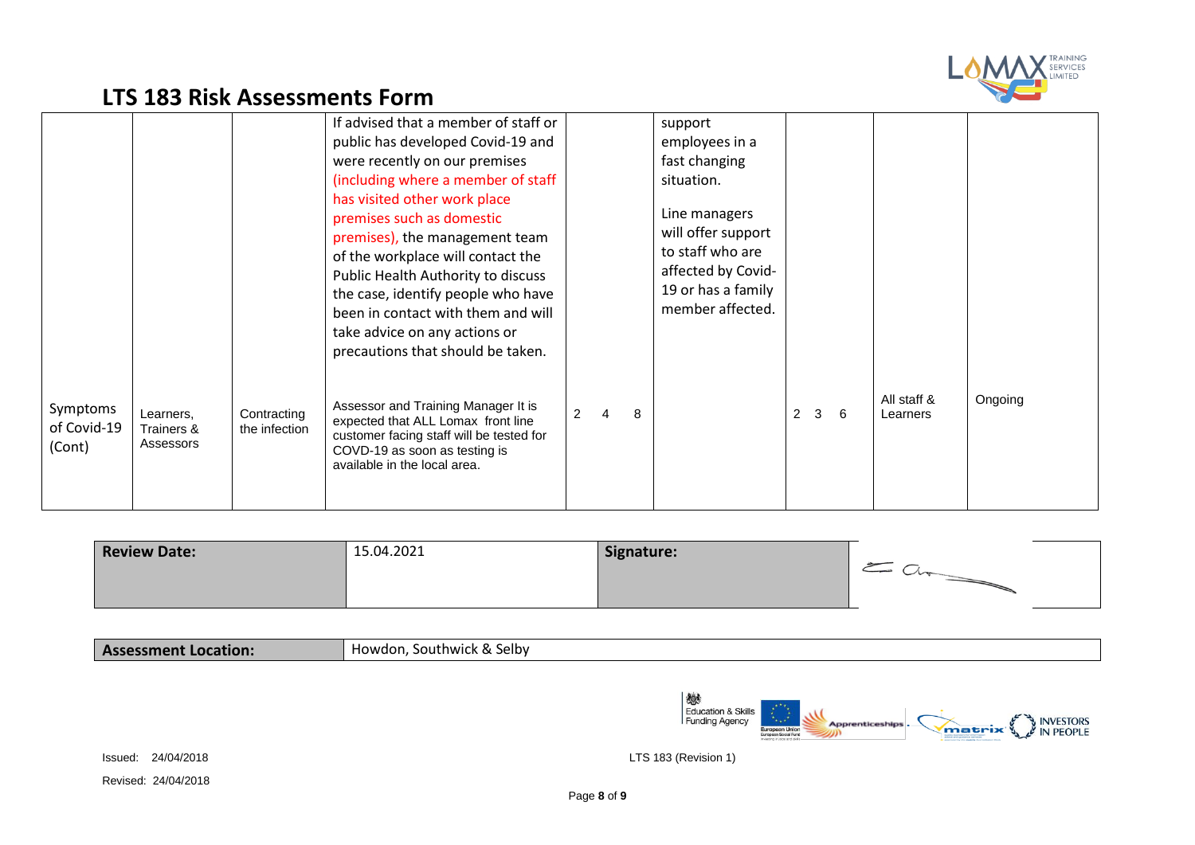

|                                   |                                      |                              | If advised that a member of staff or<br>public has developed Covid-19 and<br>were recently on our premises<br>(including where a member of staff<br>has visited other work place<br>premises such as domestic<br>premises), the management team<br>of the workplace will contact the<br>Public Health Authority to discuss<br>the case, identify people who have<br>been in contact with them and will<br>take advice on any actions or<br>precautions that should be taken. |                |   |   | support<br>employees in a<br>fast changing<br>situation.<br>Line managers<br>will offer support<br>to staff who are<br>affected by Covid-<br>19 or has a family<br>member affected. |                |              |    |                         |         |
|-----------------------------------|--------------------------------------|------------------------------|------------------------------------------------------------------------------------------------------------------------------------------------------------------------------------------------------------------------------------------------------------------------------------------------------------------------------------------------------------------------------------------------------------------------------------------------------------------------------|----------------|---|---|-------------------------------------------------------------------------------------------------------------------------------------------------------------------------------------|----------------|--------------|----|-------------------------|---------|
| Symptoms<br>of Covid-19<br>(Cont) | Learners.<br>Trainers &<br>Assessors | Contracting<br>the infection | Assessor and Training Manager It is<br>expected that ALL Lomax front line<br>customer facing staff will be tested for<br>COVD-19 as soon as testing is<br>available in the local area.                                                                                                                                                                                                                                                                                       | $\overline{2}$ | 4 | 8 |                                                                                                                                                                                     | $\overline{2}$ | $\mathbf{3}$ | -6 | All staff &<br>Learners | Ongoing |

| <b>Review Date:</b> | 15.04.2021 | Signature: |  |
|---------------------|------------|------------|--|
|                     |            |            |  |

| <b>Assessment Location:</b> | Howdon.<br>Southwick & Selby |
|-----------------------------|------------------------------|